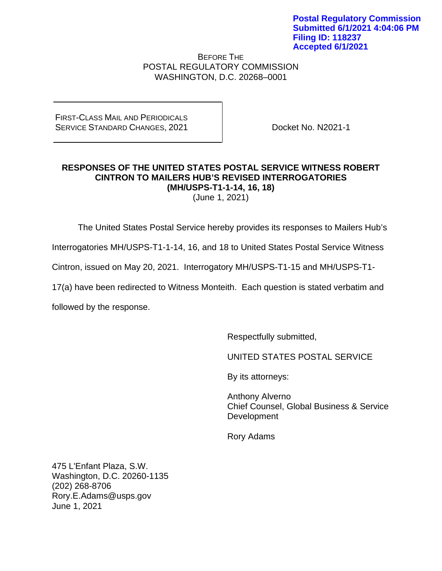BEFORE THE POSTAL REGULATORY COMMISSION WASHINGTON, D.C. 20268–0001

FIRST-CLASS MAIL AND PERIODICALS SERVICE STANDARD CHANGES, 2021

Docket No. N2021-1

# **RESPONSES OF THE UNITED STATES POSTAL SERVICE WITNESS ROBERT CINTRON TO MAILERS HUB'S REVISED INTERROGATORIES (MH/USPS-T1-1-14, 16, 18)**

(June 1, 2021)

The United States Postal Service hereby provides its responses to Mailers Hub's

Interrogatories MH/USPS-T1-1-14, 16, and 18 to United States Postal Service Witness

Cintron, issued on May 20, 2021. Interrogatory MH/USPS-T1-15 and MH/USPS-T1-

17(a) have been redirected to Witness Monteith. Each question is stated verbatim and

followed by the response.

Respectfully submitted,

UNITED STATES POSTAL SERVICE

By its attorneys:

Anthony Alverno Chief Counsel, Global Business & Service Development

Rory Adams

475 L'Enfant Plaza, S.W. Washington, D.C. 20260-1135 (202) 268-8706 Rory.E.Adams@usps.gov June 1, 2021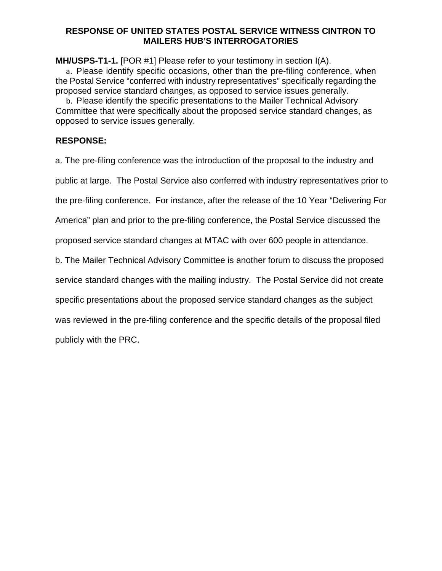**MH/USPS-T1-1.** [POR #1] Please refer to your testimony in section I(A).

a. Please identify specific occasions, other than the pre-filing conference, when the Postal Service "conferred with industry representatives" specifically regarding the proposed service standard changes, as opposed to service issues generally.

b. Please identify the specific presentations to the Mailer Technical Advisory Committee that were specifically about the proposed service standard changes, as opposed to service issues generally.

# **RESPONSE:**

a. The pre-filing conference was the introduction of the proposal to the industry and

public at large. The Postal Service also conferred with industry representatives prior to

the pre-filing conference. For instance, after the release of the 10 Year "Delivering For

America" plan and prior to the pre-filing conference, the Postal Service discussed the

proposed service standard changes at MTAC with over 600 people in attendance.

b. The Mailer Technical Advisory Committee is another forum to discuss the proposed

service standard changes with the mailing industry. The Postal Service did not create

specific presentations about the proposed service standard changes as the subject

was reviewed in the pre-filing conference and the specific details of the proposal filed

publicly with the PRC.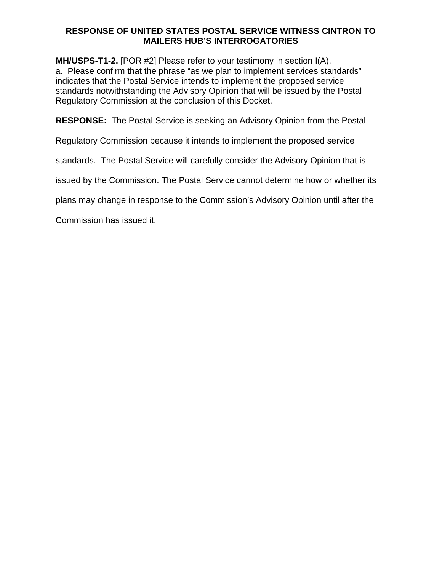**MH/USPS-T1-2.** [POR #2] Please refer to your testimony in section I(A). a. Please confirm that the phrase "as we plan to implement services standards" indicates that the Postal Service intends to implement the proposed service standards notwithstanding the Advisory Opinion that will be issued by the Postal Regulatory Commission at the conclusion of this Docket.

**RESPONSE:** The Postal Service is seeking an Advisory Opinion from the Postal

Regulatory Commission because it intends to implement the proposed service

standards. The Postal Service will carefully consider the Advisory Opinion that is

issued by the Commission. The Postal Service cannot determine how or whether its

plans may change in response to the Commission's Advisory Opinion until after the

Commission has issued it.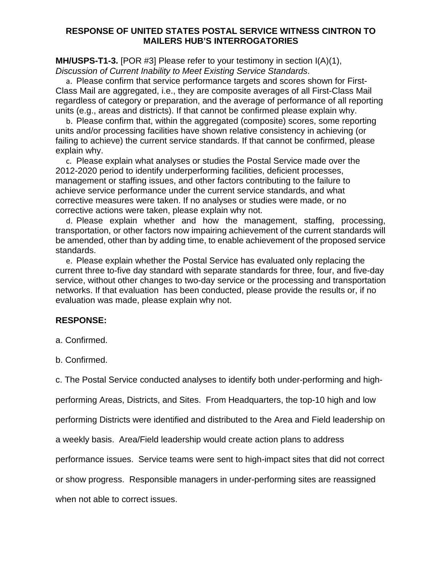**MH/USPS-T1-3.** [POR #3] Please refer to your testimony in section I(A)(1), *Discussion of Current Inability to Meet Existing Service Standards*.

a. Please confirm that service performance targets and scores shown for First-Class Mail are aggregated, i.e., they are composite averages of all First-Class Mail regardless of category or preparation, and the average of performance of all reporting units (e.g., areas and districts). If that cannot be confirmed please explain why.

b. Please confirm that, within the aggregated (composite) scores, some reporting units and/or processing facilities have shown relative consistency in achieving (or failing to achieve) the current service standards. If that cannot be confirmed, please explain why.

c. Please explain what analyses or studies the Postal Service made over the 2012-2020 period to identify underperforming facilities, deficient processes, management or staffing issues, and other factors contributing to the failure to achieve service performance under the current service standards, and what corrective measures were taken. If no analyses or studies were made, or no corrective actions were taken, please explain why not.

d. Please explain whether and how the management, staffing, processing, transportation, or other factors now impairing achievement of the current standards will be amended, other than by adding time, to enable achievement of the proposed service standards.

e. Please explain whether the Postal Service has evaluated only replacing the current three to-five day standard with separate standards for three, four, and five-day service, without other changes to two-day service or the processing and transportation networks. If that evaluation has been conducted, please provide the results or, if no evaluation was made, please explain why not.

### **RESPONSE:**

a. Confirmed.

b. Confirmed.

c. The Postal Service conducted analyses to identify both under-performing and high-

performing Areas, Districts, and Sites. From Headquarters, the top-10 high and low

performing Districts were identified and distributed to the Area and Field leadership on

a weekly basis. Area/Field leadership would create action plans to address

performance issues. Service teams were sent to high-impact sites that did not correct

or show progress. Responsible managers in under-performing sites are reassigned

when not able to correct issues.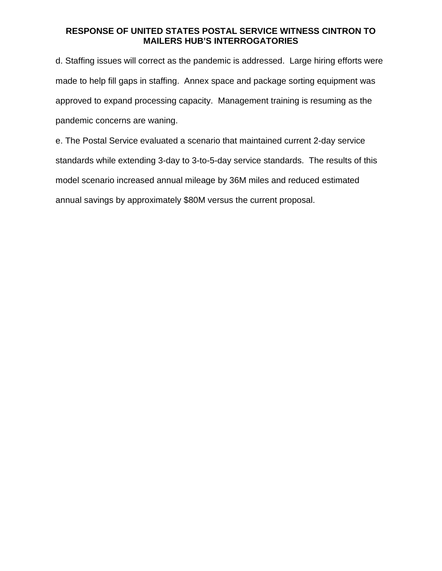d. Staffing issues will correct as the pandemic is addressed. Large hiring efforts were made to help fill gaps in staffing. Annex space and package sorting equipment was approved to expand processing capacity. Management training is resuming as the pandemic concerns are waning.

e. The Postal Service evaluated a scenario that maintained current 2-day service standards while extending 3-day to 3-to-5-day service standards. The results of this model scenario increased annual mileage by 36M miles and reduced estimated annual savings by approximately \$80M versus the current proposal.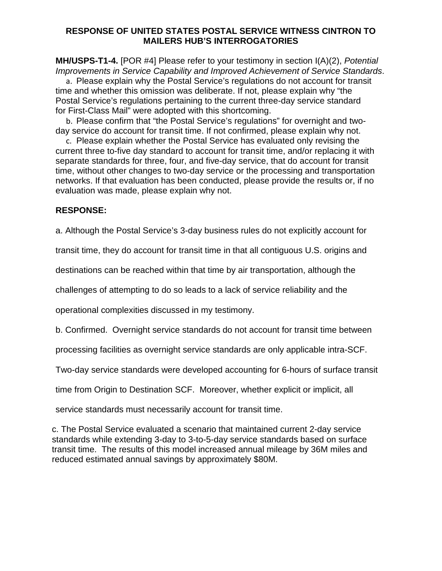**MH/USPS-T1-4.** [POR #4] Please refer to your testimony in section I(A)(2), *Potential Improvements in Service Capability and Improved Achievement of Service Standards*.

a. Please explain why the Postal Service's regulations do not account for transit time and whether this omission was deliberate. If not, please explain why "the Postal Service's regulations pertaining to the current three-day service standard for First-Class Mail" were adopted with this shortcoming.

b. Please confirm that "the Postal Service's regulations" for overnight and twoday service do account for transit time. If not confirmed, please explain why not.

c. Please explain whether the Postal Service has evaluated only revising the current three to-five day standard to account for transit time, and/or replacing it with separate standards for three, four, and five-day service, that do account for transit time, without other changes to two-day service or the processing and transportation networks. If that evaluation has been conducted, please provide the results or, if no evaluation was made, please explain why not.

# **RESPONSE:**

a. Although the Postal Service's 3-day business rules do not explicitly account for

transit time, they do account for transit time in that all contiguous U.S. origins and

destinations can be reached within that time by air transportation, although the

challenges of attempting to do so leads to a lack of service reliability and the

operational complexities discussed in my testimony.

b. Confirmed. Overnight service standards do not account for transit time between

processing facilities as overnight service standards are only applicable intra-SCF.

Two-day service standards were developed accounting for 6-hours of surface transit

time from Origin to Destination SCF. Moreover, whether explicit or implicit, all

service standards must necessarily account for transit time.

c. The Postal Service evaluated a scenario that maintained current 2-day service standards while extending 3-day to 3-to-5-day service standards based on surface transit time. The results of this model increased annual mileage by 36M miles and reduced estimated annual savings by approximately \$80M.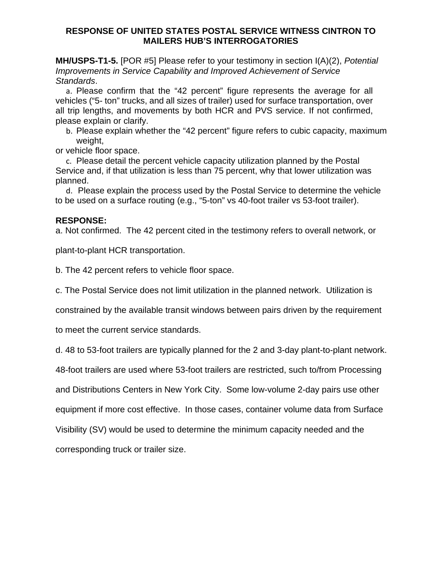**MH/USPS-T1-5.** [POR #5] Please refer to your testimony in section I(A)(2), *Potential Improvements in Service Capability and Improved Achievement of Service Standards*.

a. Please confirm that the "42 percent" figure represents the average for all vehicles ("5- ton" trucks, and all sizes of trailer) used for surface transportation, over all trip lengths, and movements by both HCR and PVS service. If not confirmed, please explain or clarify.

b. Please explain whether the "42 percent" figure refers to cubic capacity, maximum weight,

or vehicle floor space.

c. Please detail the percent vehicle capacity utilization planned by the Postal Service and, if that utilization is less than 75 percent, why that lower utilization was planned.

d. Please explain the process used by the Postal Service to determine the vehicle to be used on a surface routing (e.g., "5-ton" vs 40-foot trailer vs 53-foot trailer).

# **RESPONSE:**

a. Not confirmed. The 42 percent cited in the testimony refers to overall network, or

plant-to-plant HCR transportation.

b. The 42 percent refers to vehicle floor space.

c. The Postal Service does not limit utilization in the planned network. Utilization is

constrained by the available transit windows between pairs driven by the requirement

to meet the current service standards.

d. 48 to 53-foot trailers are typically planned for the 2 and 3-day plant-to-plant network.

48-foot trailers are used where 53-foot trailers are restricted, such to/from Processing

and Distributions Centers in New York City. Some low-volume 2-day pairs use other

equipment if more cost effective. In those cases, container volume data from Surface

Visibility (SV) would be used to determine the minimum capacity needed and the

corresponding truck or trailer size.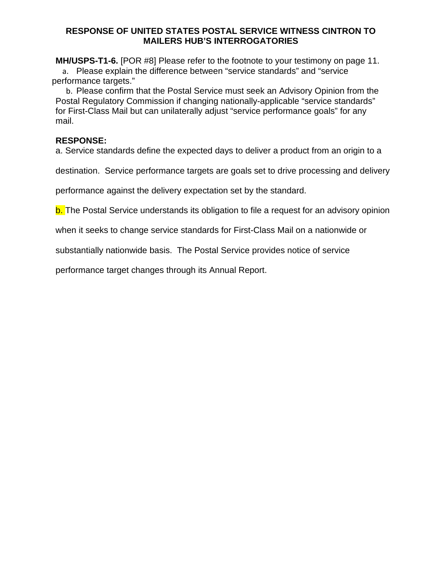**MH/USPS-T1-6.** [POR #8] Please refer to the footnote to your testimony on page 11. a. Please explain the difference between "service standards" and "service performance targets."

b. Please confirm that the Postal Service must seek an Advisory Opinion from the Postal Regulatory Commission if changing nationally-applicable "service standards" for First-Class Mail but can unilaterally adjust "service performance goals" for any mail.

### **RESPONSE:**

a. Service standards define the expected days to deliver a product from an origin to a

destination. Service performance targets are goals set to drive processing and delivery

performance against the delivery expectation set by the standard.

b. The Postal Service understands its obligation to file a request for an advisory opinion

when it seeks to change service standards for First-Class Mail on a nationwide or

substantially nationwide basis. The Postal Service provides notice of service

performance target changes through its Annual Report.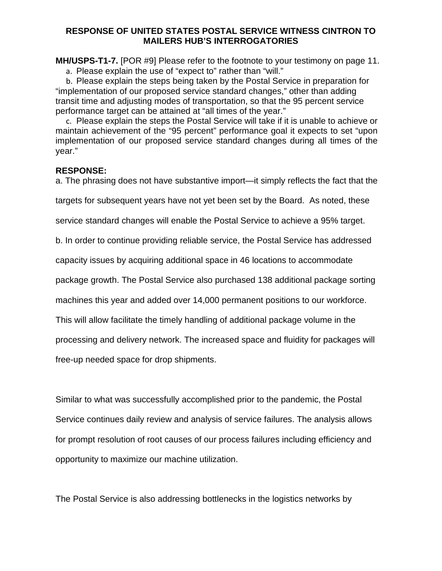**MH/USPS-T1-7.** [POR #9] Please refer to the footnote to your testimony on page 11.

a. Please explain the use of "expect to" rather than "will."

b. Please explain the steps being taken by the Postal Service in preparation for "implementation of our proposed service standard changes," other than adding transit time and adjusting modes of transportation, so that the 95 percent service performance target can be attained at "all times of the year."

c. Please explain the steps the Postal Service will take if it is unable to achieve or maintain achievement of the "95 percent" performance goal it expects to set "upon implementation of our proposed service standard changes during all times of the year."

### **RESPONSE:**

a. The phrasing does not have substantive import—it simply reflects the fact that the

targets for subsequent years have not yet been set by the Board. As noted, these

service standard changes will enable the Postal Service to achieve a 95% target.

b. In order to continue providing reliable service, the Postal Service has addressed

capacity issues by acquiring additional space in 46 locations to accommodate

package growth. The Postal Service also purchased 138 additional package sorting

machines this year and added over 14,000 permanent positions to our workforce.

This will allow facilitate the timely handling of additional package volume in the

processing and delivery network. The increased space and fluidity for packages will

free-up needed space for drop shipments.

Similar to what was successfully accomplished prior to the pandemic, the Postal Service continues daily review and analysis of service failures. The analysis allows for prompt resolution of root causes of our process failures including efficiency and opportunity to maximize our machine utilization.

The Postal Service is also addressing bottlenecks in the logistics networks by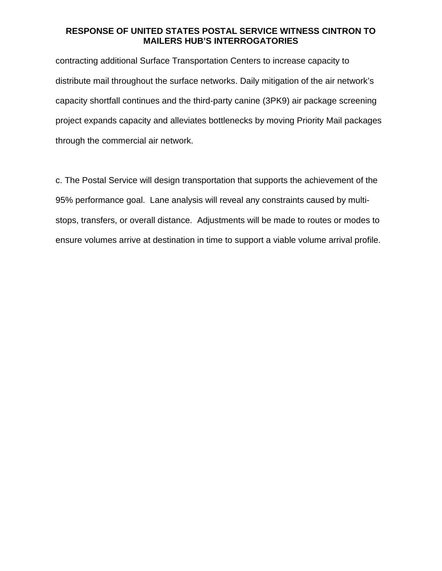contracting additional Surface Transportation Centers to increase capacity to distribute mail throughout the surface networks. Daily mitigation of the air network's capacity shortfall continues and the third-party canine (3PK9) air package screening project expands capacity and alleviates bottlenecks by moving Priority Mail packages through the commercial air network.

c. The Postal Service will design transportation that supports the achievement of the 95% performance goal. Lane analysis will reveal any constraints caused by multistops, transfers, or overall distance. Adjustments will be made to routes or modes to ensure volumes arrive at destination in time to support a viable volume arrival profile.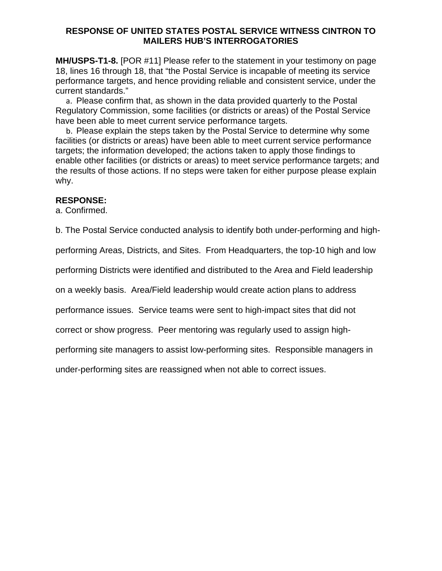**MH/USPS-T1-8.** [POR #11] Please refer to the statement in your testimony on page 18, lines 16 through 18, that "the Postal Service is incapable of meeting its service performance targets, and hence providing reliable and consistent service, under the current standards."

a. Please confirm that, as shown in the data provided quarterly to the Postal Regulatory Commission, some facilities (or districts or areas) of the Postal Service have been able to meet current service performance targets.

b. Please explain the steps taken by the Postal Service to determine why some facilities (or districts or areas) have been able to meet current service performance targets; the information developed; the actions taken to apply those findings to enable other facilities (or districts or areas) to meet service performance targets; and the results of those actions. If no steps were taken for either purpose please explain why.

### **RESPONSE:**

a. Confirmed.

b. The Postal Service conducted analysis to identify both under-performing and high-

performing Areas, Districts, and Sites. From Headquarters, the top-10 high and low

performing Districts were identified and distributed to the Area and Field leadership

on a weekly basis. Area/Field leadership would create action plans to address

performance issues. Service teams were sent to high-impact sites that did not

correct or show progress. Peer mentoring was regularly used to assign high-

performing site managers to assist low-performing sites. Responsible managers in

under-performing sites are reassigned when not able to correct issues.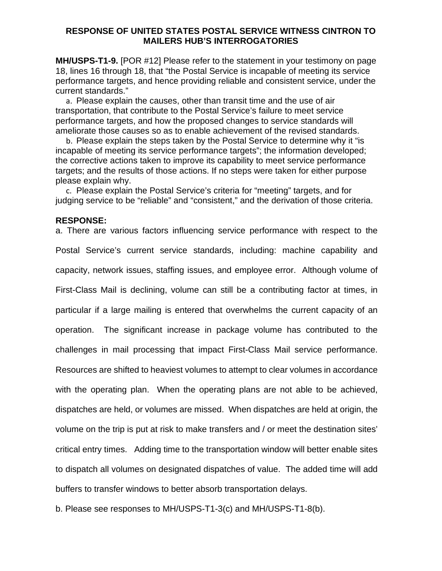**MH/USPS-T1-9.** [POR #12] Please refer to the statement in your testimony on page 18, lines 16 through 18, that "the Postal Service is incapable of meeting its service performance targets, and hence providing reliable and consistent service, under the current standards."

a. Please explain the causes, other than transit time and the use of air transportation, that contribute to the Postal Service's failure to meet service performance targets, and how the proposed changes to service standards will ameliorate those causes so as to enable achievement of the revised standards.

b. Please explain the steps taken by the Postal Service to determine why it "is incapable of meeting its service performance targets"; the information developed; the corrective actions taken to improve its capability to meet service performance targets; and the results of those actions. If no steps were taken for either purpose please explain why.

c. Please explain the Postal Service's criteria for "meeting" targets, and for judging service to be "reliable" and "consistent," and the derivation of those criteria.

#### **RESPONSE:**

a. There are various factors influencing service performance with respect to the Postal Service's current service standards, including: machine capability and capacity, network issues, staffing issues, and employee error. Although volume of First-Class Mail is declining, volume can still be a contributing factor at times, in particular if a large mailing is entered that overwhelms the current capacity of an operation. The significant increase in package volume has contributed to the challenges in mail processing that impact First-Class Mail service performance. Resources are shifted to heaviest volumes to attempt to clear volumes in accordance with the operating plan. When the operating plans are not able to be achieved, dispatches are held, or volumes are missed. When dispatches are held at origin, the volume on the trip is put at risk to make transfers and / or meet the destination sites' critical entry times. Adding time to the transportation window will better enable sites to dispatch all volumes on designated dispatches of value. The added time will add buffers to transfer windows to better absorb transportation delays.

b. Please see responses to MH/USPS-T1-3(c) and MH/USPS-T1-8(b).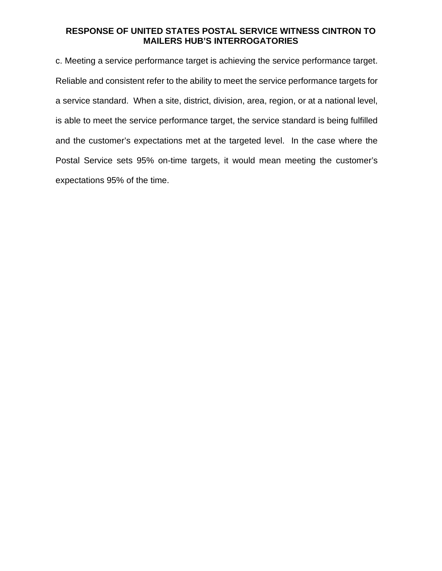c. Meeting a service performance target is achieving the service performance target. Reliable and consistent refer to the ability to meet the service performance targets for a service standard. When a site, district, division, area, region, or at a national level, is able to meet the service performance target, the service standard is being fulfilled and the customer's expectations met at the targeted level. In the case where the Postal Service sets 95% on-time targets, it would mean meeting the customer's expectations 95% of the time.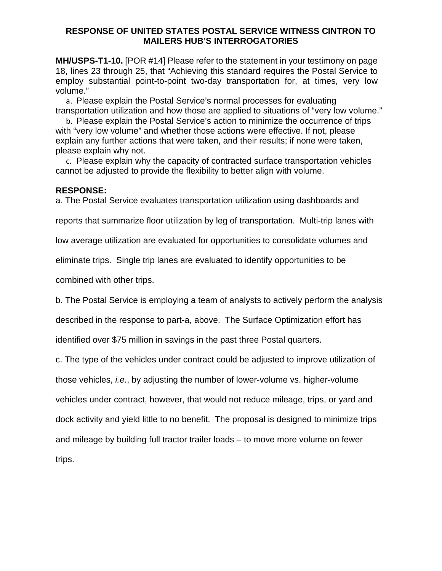**MH/USPS-T1-10.** [POR #14] Please refer to the statement in your testimony on page 18, lines 23 through 25, that "Achieving this standard requires the Postal Service to employ substantial point-to-point two-day transportation for, at times, very low volume."

a. Please explain the Postal Service's normal processes for evaluating transportation utilization and how those are applied to situations of "very low volume."

b. Please explain the Postal Service's action to minimize the occurrence of trips with "very low volume" and whether those actions were effective. If not, please explain any further actions that were taken, and their results; if none were taken, please explain why not.

c. Please explain why the capacity of contracted surface transportation vehicles cannot be adjusted to provide the flexibility to better align with volume.

### **RESPONSE:**

a. The Postal Service evaluates transportation utilization using dashboards and

reports that summarize floor utilization by leg of transportation. Multi-trip lanes with

low average utilization are evaluated for opportunities to consolidate volumes and

eliminate trips. Single trip lanes are evaluated to identify opportunities to be

combined with other trips.

b. The Postal Service is employing a team of analysts to actively perform the analysis

described in the response to part-a, above. The Surface Optimization effort has

identified over \$75 million in savings in the past three Postal quarters.

c. The type of the vehicles under contract could be adjusted to improve utilization of

those vehicles, *i.e.*, by adjusting the number of lower-volume vs. higher-volume

vehicles under contract, however, that would not reduce mileage, trips, or yard and

dock activity and yield little to no benefit. The proposal is designed to minimize trips

and mileage by building full tractor trailer loads – to move more volume on fewer

trips.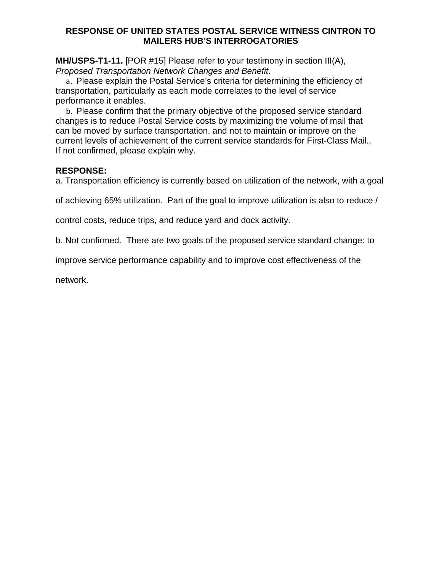**MH/USPS-T1-11.** [POR #15] Please refer to your testimony in section III(A), *Proposed Transportation Network Changes and Benefit*.

a. Please explain the Postal Service's criteria for determining the efficiency of transportation, particularly as each mode correlates to the level of service performance it enables.

b. Please confirm that the primary objective of the proposed service standard changes is to reduce Postal Service costs by maximizing the volume of mail that can be moved by surface transportation. and not to maintain or improve on the current levels of achievement of the current service standards for First-Class Mail.. If not confirmed, please explain why.

### **RESPONSE:**

a. Transportation efficiency is currently based on utilization of the network, with a goal

of achieving 65% utilization. Part of the goal to improve utilization is also to reduce /

control costs, reduce trips, and reduce yard and dock activity.

b. Not confirmed. There are two goals of the proposed service standard change: to

improve service performance capability and to improve cost effectiveness of the

network.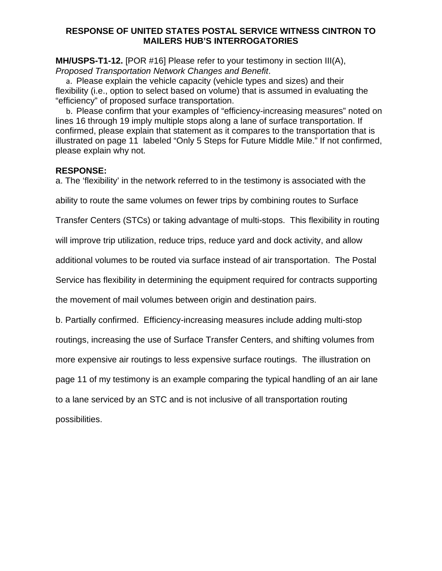**MH/USPS-T1-12.** [POR #16] Please refer to your testimony in section III(A), *Proposed Transportation Network Changes and Benefit*.

a. Please explain the vehicle capacity (vehicle types and sizes) and their flexibility (i.e., option to select based on volume) that is assumed in evaluating the "efficiency" of proposed surface transportation.

b. Please confirm that your examples of "efficiency-increasing measures" noted on lines 16 through 19 imply multiple stops along a lane of surface transportation. If confirmed, please explain that statement as it compares to the transportation that is illustrated on page 11 labeled "Only 5 Steps for Future Middle Mile." If not confirmed, please explain why not.

### **RESPONSE:**

a. The 'flexibility' in the network referred to in the testimony is associated with the

ability to route the same volumes on fewer trips by combining routes to Surface

Transfer Centers (STCs) or taking advantage of multi-stops. This flexibility in routing

will improve trip utilization, reduce trips, reduce yard and dock activity, and allow

additional volumes to be routed via surface instead of air transportation. The Postal

Service has flexibility in determining the equipment required for contracts supporting

the movement of mail volumes between origin and destination pairs.

b. Partially confirmed. Efficiency-increasing measures include adding multi-stop

routings, increasing the use of Surface Transfer Centers, and shifting volumes from

more expensive air routings to less expensive surface routings. The illustration on

page 11 of my testimony is an example comparing the typical handling of an air lane

to a lane serviced by an STC and is not inclusive of all transportation routing

possibilities.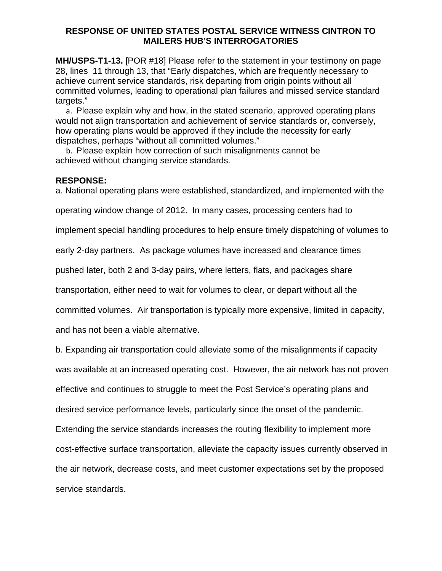**MH/USPS-T1-13.** [POR #18] Please refer to the statement in your testimony on page 28, lines 11 through 13, that "Early dispatches, which are frequently necessary to achieve current service standards, risk departing from origin points without all committed volumes, leading to operational plan failures and missed service standard targets."

a. Please explain why and how, in the stated scenario, approved operating plans would not align transportation and achievement of service standards or, conversely, how operating plans would be approved if they include the necessity for early dispatches, perhaps "without all committed volumes."

b. Please explain how correction of such misalignments cannot be achieved without changing service standards.

### **RESPONSE:**

a. National operating plans were established, standardized, and implemented with the

operating window change of 2012. In many cases, processing centers had to

implement special handling procedures to help ensure timely dispatching of volumes to

early 2-day partners. As package volumes have increased and clearance times

pushed later, both 2 and 3-day pairs, where letters, flats, and packages share

transportation, either need to wait for volumes to clear, or depart without all the

committed volumes. Air transportation is typically more expensive, limited in capacity,

and has not been a viable alternative.

b. Expanding air transportation could alleviate some of the misalignments if capacity

was available at an increased operating cost. However, the air network has not proven

effective and continues to struggle to meet the Post Service's operating plans and

desired service performance levels, particularly since the onset of the pandemic.

Extending the service standards increases the routing flexibility to implement more

cost-effective surface transportation, alleviate the capacity issues currently observed in

the air network, decrease costs, and meet customer expectations set by the proposed

service standards.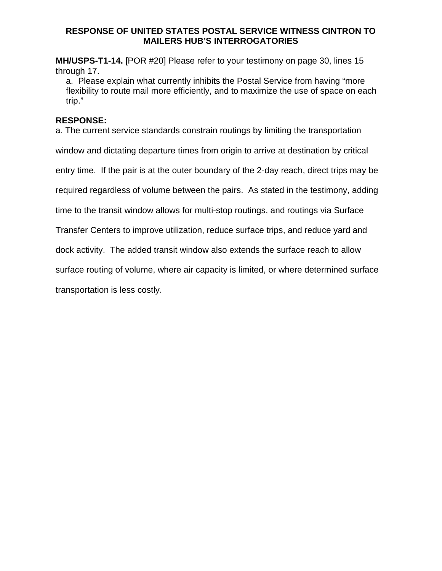**MH/USPS-T1-14.** [POR #20] Please refer to your testimony on page 30, lines 15 through 17.

a. Please explain what currently inhibits the Postal Service from having "more flexibility to route mail more efficiently, and to maximize the use of space on each trip."

### **RESPONSE:**

a. The current service standards constrain routings by limiting the transportation

window and dictating departure times from origin to arrive at destination by critical

entry time. If the pair is at the outer boundary of the 2-day reach, direct trips may be

required regardless of volume between the pairs. As stated in the testimony, adding

time to the transit window allows for multi-stop routings, and routings via Surface

Transfer Centers to improve utilization, reduce surface trips, and reduce yard and

dock activity. The added transit window also extends the surface reach to allow

surface routing of volume, where air capacity is limited, or where determined surface

transportation is less costly.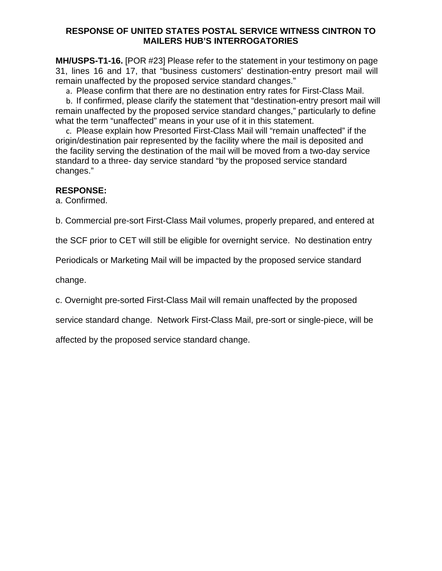**MH/USPS-T1-16.** [POR #23] Please refer to the statement in your testimony on page 31, lines 16 and 17, that "business customers' destination-entry presort mail will remain unaffected by the proposed service standard changes."

a. Please confirm that there are no destination entry rates for First-Class Mail.

b. If confirmed, please clarify the statement that "destination-entry presort mail will remain unaffected by the proposed service standard changes," particularly to define what the term "unaffected" means in your use of it in this statement.

c. Please explain how Presorted First-Class Mail will "remain unaffected" if the origin/destination pair represented by the facility where the mail is deposited and the facility serving the destination of the mail will be moved from a two-day service standard to a three- day service standard "by the proposed service standard changes."

# **RESPONSE:**

a. Confirmed.

b. Commercial pre-sort First-Class Mail volumes, properly prepared, and entered at

the SCF prior to CET will still be eligible for overnight service. No destination entry

Periodicals or Marketing Mail will be impacted by the proposed service standard

change.

c. Overnight pre-sorted First-Class Mail will remain unaffected by the proposed

service standard change. Network First-Class Mail, pre-sort or single-piece, will be

affected by the proposed service standard change.